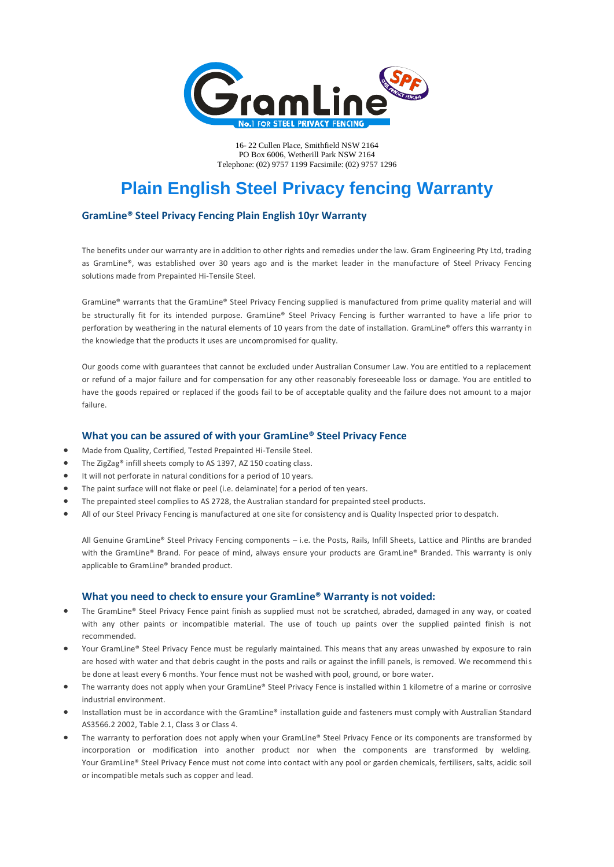

16- 22 Cullen Place, Smithfield NSW 2164 PO Box 6006, Wetherill Park NSW 2164 Telephone: (02) 9757 1199 Facsimile: (02) 9757 1296

# **Plain English Steel Privacy fencing Warranty**

## **GramLine® Steel Privacy Fencing Plain English 10yr Warranty**

The benefits under our warranty are in addition to other rights and remedies under the law. Gram Engineering Pty Ltd, trading as GramLine®, was established over 30 years ago and is the market leader in the manufacture of Steel Privacy Fencing solutions made from Prepainted Hi-Tensile Steel.

GramLine® warrants that the GramLine® Steel Privacy Fencing supplied is manufactured from prime quality material and will be structurally fit for its intended purpose. GramLine® Steel Privacy Fencing is further warranted to have a life prior to perforation by weathering in the natural elements of 10 years from the date of installation. GramLine® offers this warranty in the knowledge that the products it uses are uncompromised for quality.

Our goods come with guarantees that cannot be excluded under Australian Consumer Law. You are entitled to a replacement or refund of a major failure and for compensation for any other reasonably foreseeable loss or damage. You are entitled to have the goods repaired or replaced if the goods fail to be of acceptable quality and the failure does not amount to a major failure.

## **What you can be assured of with your GramLine® Steel Privacy Fence**

- Made from Quality, Certified, Tested Prepainted Hi-Tensile Steel.
- The ZigZag® infill sheets comply to AS 1397, AZ 150 coating class.
- It will not perforate in natural conditions for a period of 10 years.
- The paint surface will not flake or peel (i.e. delaminate) for a period of ten years.
- The prepainted steel complies to AS 2728, the Australian standard for prepainted steel products.
- All of our Steel Privacy Fencing is manufactured at one site for consistency and is Quality Inspected prior to despatch.

All Genuine GramLine® Steel Privacy Fencing components – i.e. the Posts, Rails, Infill Sheets, Lattice and Plinths are branded with the GramLine® Brand. For peace of mind, always ensure your products are GramLine® Branded. This warranty is only applicable to GramLine® branded product.

#### **What you need to check to ensure your GramLine® Warranty is not voided:**

- The GramLine® Steel Privacy Fence paint finish as supplied must not be scratched, abraded, damaged in any way, or coated with any other paints or incompatible material. The use of touch up paints over the supplied painted finish is not recommended.
- Your GramLine® Steel Privacy Fence must be regularly maintained. This means that any areas unwashed by exposure to rain are hosed with water and that debris caught in the posts and rails or against the infill panels, is removed. We recommend this be done at least every 6 months. Your fence must not be washed with pool, ground, or bore water.
- The warranty does not apply when your GramLine® Steel Privacy Fence is installed within 1 kilometre of a marine or corrosive industrial environment.
- Installation must be in accordance with the GramLine® installation guide and fasteners must comply with Australian Standard AS3566.2 2002, Table 2.1, Class 3 or Class 4.
- The warranty to perforation does not apply when your GramLine® Steel Privacy Fence or its components are transformed by incorporation or modification into another product nor when the components are transformed by welding. Your GramLine® Steel Privacy Fence must not come into contact with any pool or garden chemicals, fertilisers, salts, acidic soil or incompatible metals such as copper and lead.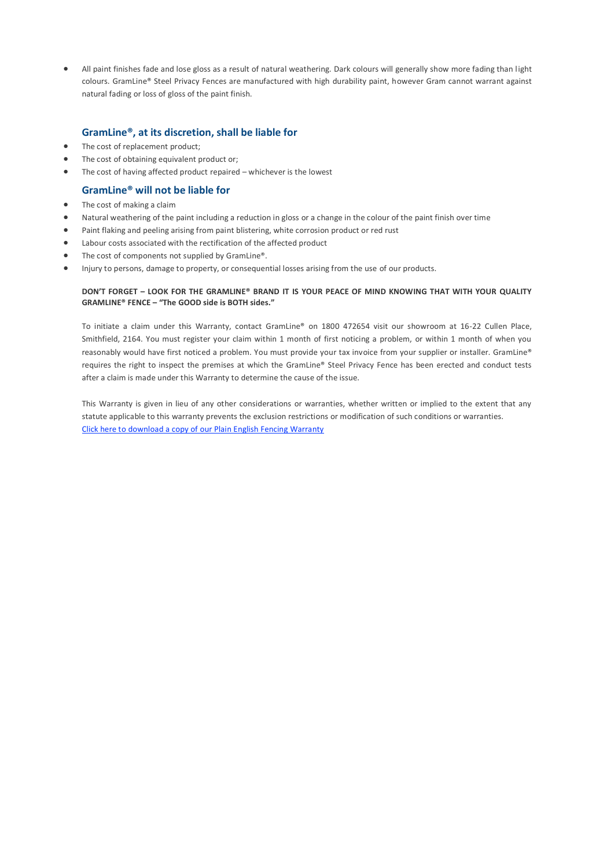All paint finishes fade and lose gloss as a result of natural weathering. Dark colours will generally show more fading than light colours. GramLine® Steel Privacy Fences are manufactured with high durability paint, however Gram cannot warrant against natural fading or loss of gloss of the paint finish.

## **GramLine®, at its discretion, shall be liable for**

- The cost of replacement product;
- The cost of obtaining equivalent product or;
- The cost of having affected product repaired whichever is the lowest

# **GramLine® will not be liable for**

- The cost of making a claim
- Natural weathering of the paint including a reduction in gloss or a change in the colour of the paint finish over time
- Paint flaking and peeling arising from paint blistering, white corrosion product or red rust
- Labour costs associated with the rectification of the affected product
- The cost of components not supplied by GramLine®.
- Injury to persons, damage to property, or consequential losses arising from the use of our products.

#### **DON'T FORGET – LOOK FOR THE GRAMLINE® BRAND IT IS YOUR PEACE OF MIND KNOWING THAT WITH YOUR QUALITY GRAMLINE® FENCE – "The GOOD side is BOTH sides."**

To initiate a claim under this Warranty, contact GramLine® on 1800 472654 visit our showroom at 16-22 Cullen Place, Smithfield, 2164. You must register your claim within 1 month of first noticing a problem, or within 1 month of when you reasonably would have first noticed a problem. You must provide your tax invoice from your supplier or installer. GramLine® requires the right to inspect the premises at which the GramLine® Steel Privacy Fence has been erected and conduct tests after a claim is made under this Warranty to determine the cause of the issue.

This Warranty is given in lieu of any other considerations or warranties, whether written or implied to the extent that any statute applicable to this warranty prevents the exclusion restrictions or modification of such conditions or warranties. Click here to [download](http://www.gram.com.au/wp-content/themes/twentyeleven/pdfs/PLAIN-ENGLISH-10-YEAR-WARRANTY3.zip) a copy of our Plain English Fencing Warranty